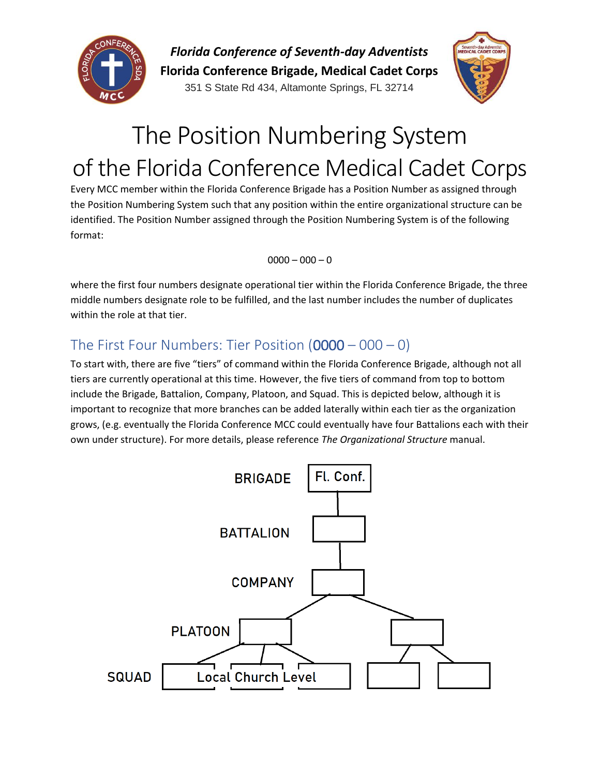

*Florida Conference of Seventh-day Adventists*

**Florida Conference Brigade, Medical Cadet Corps** 351 S State Rd 434, Altamonte Springs, FL 32714



# The Position Numbering System of the Florida Conference Medical Cadet Corps

Every MCC member within the Florida Conference Brigade has a Position Number as assigned through the Position Numbering System such that any position within the entire organizational structure can be identified. The Position Number assigned through the Position Numbering System is of the following format:

 $0000 - 000 - 0$ 

where the first four numbers designate operational tier within the Florida Conference Brigade, the three middle numbers designate role to be fulfilled, and the last number includes the number of duplicates within the role at that tier.

## The First Four Numbers: Tier Position  $(0000 - 000 - 0)$

To start with, there are five "tiers" of command within the Florida Conference Brigade, although not all tiers are currently operational at this time. However, the five tiers of command from top to bottom include the Brigade, Battalion, Company, Platoon, and Squad. This is depicted below, although it is important to recognize that more branches can be added laterally within each tier as the organization grows, (e.g. eventually the Florida Conference MCC could eventually have four Battalions each with their own under structure). For more details, please reference *The Organizational Structure* manual.

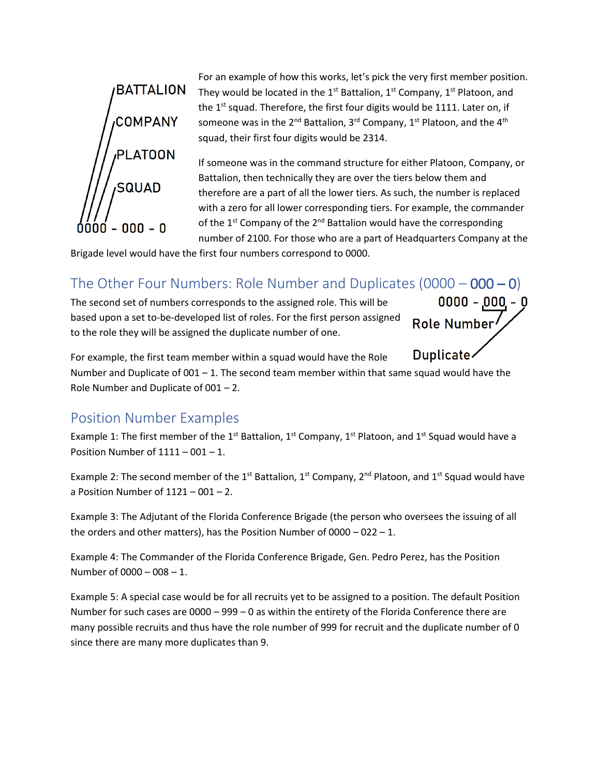

For an example of how this works, let's pick the very first member position. They would be located in the 1<sup>st</sup> Battalion,  $1^{st}$  Company,  $1^{st}$  Platoon, and the 1<sup>st</sup> squad. Therefore, the first four digits would be 1111. Later on, if someone was in the  $2^{nd}$  Battalion,  $3^{rd}$  Company,  $1^{st}$  Platoon, and the  $4^{th}$ squad, their first four digits would be 2314.

If someone was in the command structure for either Platoon, Company, or Battalion, then technically they are over the tiers below them and therefore are a part of all the lower tiers. As such, the number is replaced with a zero for all lower corresponding tiers. For example, the commander of the  $1^{st}$  Company of the  $2^{nd}$  Battalion would have the corresponding number of 2100. For those who are a part of Headquarters Company at the

 $0000 - 000 - 0$ 

Role Number

Brigade level would have the first four numbers correspond to 0000.

### The Other Four Numbers: Role Number and Duplicates  $(0000 - 000 - 0)$

The second set of numbers corresponds to the assigned role. This will be based upon a set to-be-developed list of roles. For the first person assigned to the role they will be assigned the duplicate number of one.

Duplicate-For example, the first team member within a squad would have the Role Number and Duplicate of  $001 - 1$ . The second team member within that same squad would have the Role Number and Duplicate of 001 – 2.

#### Position Number Examples

Example 1: The first member of the 1<sup>st</sup> Battalion, 1<sup>st</sup> Company, 1<sup>st</sup> Platoon, and 1<sup>st</sup> Squad would have a Position Number of  $1111 - 001 - 1$ .

Example 2: The second member of the 1<sup>st</sup> Battalion, 1<sup>st</sup> Company, 2<sup>nd</sup> Platoon, and 1<sup>st</sup> Squad would have a Position Number of  $1121 - 001 - 2$ .

Example 3: The Adjutant of the Florida Conference Brigade (the person who oversees the issuing of all the orders and other matters), has the Position Number of 0000 – 022 – 1.

Example 4: The Commander of the Florida Conference Brigade, Gen. Pedro Perez, has the Position Number of 0000 – 008 – 1.

Example 5: A special case would be for all recruits yet to be assigned to a position. The default Position Number for such cases are  $0000 - 999 - 0$  as within the entirety of the Florida Conference there are many possible recruits and thus have the role number of 999 for recruit and the duplicate number of 0 since there are many more duplicates than 9.